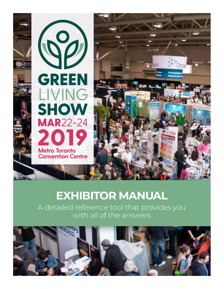

# **EXHIBITOR MANUAL**

A detailed reference tool that provides you with all of the answers

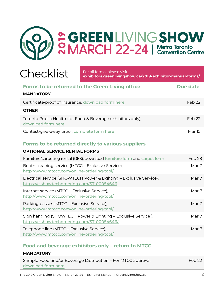

For all forms, please visit: **[exhibitors.greenlivingshow.ca/2019-exhibitor-manual-forms/](https://exhibitors.greenlivingshow.ca/2019-exhibitor-manual-forms/)**

| <b>Forms to be returned to the Green Living office</b>                                                            | Due date          |
|-------------------------------------------------------------------------------------------------------------------|-------------------|
| <b>MANDATORY</b>                                                                                                  |                   |
| Certificate/proof of insurance, download form here                                                                | Feb <sub>22</sub> |
| <b>OTHER</b>                                                                                                      |                   |
| Toronto Public Health (for Food & Beverage exhibitors only),<br>download form here                                | Feb <sub>22</sub> |
| Contest/give-away proof, complete form here                                                                       | <b>Mar 15</b>     |
| <b>Forms to be returned directly to various suppliers</b>                                                         |                   |
| <b>OPTIONAL SERVICE RENTAL FORMS</b>                                                                              |                   |
| Furniture/carpeting rental (GES), download furniture form and carpet form                                         | Feb 28            |
| Booth cleaning service (MTCC - Exclusive Service),<br>http://www.mtccc.com/online-ordering-tool/                  | Mar 7             |
| Electrical service (SHOWTECH Power & Lighting - Exclusive Service),<br>https://e.showtechordering.com/ST-00054646 | Mar 7             |
| Internet service (MTCC - Exclusive Service),<br>http://www.mtccc.com/online-ordering-tool/                        | Mar 7             |
| Parking passes (MTCC - Exclusive Service),<br>http://www.mtccc.com/online-ordering-tool/                          | Mar 7             |
| Sign hanging (SHOWTECH Power & Lighting - Exclusive Service),<br>https://e.showtechordering.com/ST-00054646/      | Mar 7             |
| Telephone line (MTCC - Exclusive Service),<br>http://www.mtccc.com/online-ordering-tool/                          | Mar 7             |
|                                                                                                                   |                   |

#### **Food and beverage exhibitors only – return to MTCC**

| Sample Food and/or Beverage Distribution – For MTCC approval,<br>Feb 22<br>download form here | <b>MANDATORY</b> |  |
|-----------------------------------------------------------------------------------------------|------------------|--|
|                                                                                               |                  |  |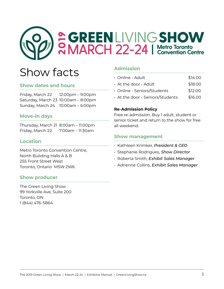

# Show facts

#### **Show dates and hours**

Friday, March 22 12:00pm – 9:00pm Saturday, March 23 10:00am – 8:00pm Sunday, March 24 10:00am – 6:00pm

#### **Move-in days**

Thursday, March 21 8:00am – 11:00pm Friday, March 22 7:00am – 11:30am

#### **Location**

Metro Toronto Convention Centre, North Building Halls A & B 255 Front Street West Toronto, Ontario M5W 2W6

#### **Show producer**

The Green Living Show 99 Yorkville Ave, Suite 200 Toronto, ON 1 (844) 476-5864

#### **Admission**

| $\cdot$ Online - Adult .     | \$14.00 |
|------------------------------|---------|
| $\cdot$ At the door - Adult. | \$18.00 |
| · Online - Seniors/Students  | \$12.00 |

 $\cdot$  At the door - Seniors/Students  $\qquad$  \$16.00

#### **Re-Admission Policy**

Free re-admission. Buy 1 adult, student or senior ticket and return to the show for free all weekend.

#### **Show management**

- Kathleen Krimker, *President & CEO*
- Stephanie Rodrigues, *Show Director*
- Roberta Smith, *Exhibit Sales Manager*
- Adrienne Collins, *Exhibit Sales Manager*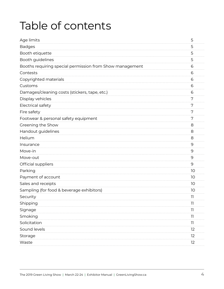# Table of contents

| Age limits                                               | 5            |
|----------------------------------------------------------|--------------|
| <b>Badges</b>                                            | 5            |
| Booth etiquette                                          | 5            |
| Booth guidelines                                         | 5            |
| Booths requiring special permission from Show management | 6            |
| Contests                                                 | 6            |
| Copyrighted materials                                    | 6            |
| Customs                                                  | 6            |
| Damages/cleaning costs (stickers, tape, etc.)            | 6            |
| Display vehicles                                         | 7            |
| Electrical safety                                        | 7            |
| Fire safety                                              | 7            |
| Footwear & personal safety equipment                     | 7            |
| Greening the Show                                        | 8            |
| Handout guidelines                                       | 8            |
| Helium                                                   | 8            |
| Insurance                                                | 9            |
| Move-in                                                  | 9            |
| Move-out                                                 | 9            |
| Official suppliers                                       | 9            |
| Parking                                                  | 10           |
| Payment of account                                       | 10           |
| Sales and receipts                                       | 10           |
| Sampling (for food & beverage exhibitors)                | 10           |
| Security                                                 | 11           |
| Shipping                                                 | 11           |
| Signage                                                  | $\mathbf{H}$ |
| Smoking                                                  | וו           |
| Solicitation                                             | וו           |
| Sound levels                                             | 12           |
| Storage                                                  | 12           |
| Waste                                                    | 12           |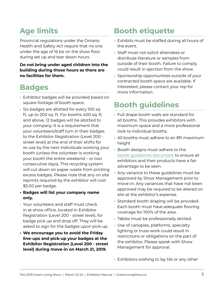## <span id="page-4-0"></span>**Age limits**

Provincial regulations under the Ontario Health and Safety Act require that no one under the age of 16 be on the show floor during set up and tear down hours.

**Do not bring under aged children into the building during those hours as there are no facilities for them.**

### **Badges**

- Exhibitor badges will be provided based on square footage of booth space.
- Six badges are allotted for every 100 sq ft, up to 200 sq. ft. For booths 400 sq. ft. and above, 12 badges will be allotted to your company. It is a requirement that your volunteers/staff turn in their badges to the Exhibitor Registration (Level 200 street level) at the end of their shifts for re-use by the next individuals working your booth (unless the volunteer is working your booth the entire weekend – or two consecutive days). This recycling system will cut down on paper waste from printing excess badges. Please note that any on site reprints required by the exhibitor will cost \$5.00 per badge.
- **• Badges will list your company name only.**
- Your volunteers and staff must check in at show office, located in Exhibitor Registration (Level 200 - street level), for badge pick up and drop off. They will be asked to sign for the badges upon pick-up.
- **• We encourage you to avoid the Friday line-ups and pick-up your badges at the Exhibitor Registration (Level 200 - street level) during move-in on March 21, 2019.**

## **Booth etiquette**

- Exhibits must be staffed during all hours of the event.
- Staff must not solicit attendees or distribute literature or samples from outside of their booth. Failure to comply could result in ejection from the show.
- Sponsorship opportunities outside of your contracted booth space are available. If interested, please contact your rep for more information.

## **Booth guidelines**

- Full drape booth walls are standard for all booths. This provides exhibitors with maximum space and a more professional look to individual booths.
- All booths must adhere to an 8ft maximum height
- Booth designs must adhere to the [booth guidelines document](https://exhibitors.greenlivingshow.ca/wp-content/uploads/2019-booth-design-guidelines.pdf) to ensure all exhibitors and their products have a fair advantage to be seen.
- Any variance to these guidelines must be approved by Show Management prior to move-in. Any variances that have not been approved may be required to be altered on site at the exhibitor's expense.
- Standard booth draping will be provided. Each booth must have adequate flooring coverage for 100% of the area.
- Tables must be professionally skirted.
- Use of canopies, platforms, specialty lighting or truss work could result in restrictions or obligations on the part of the exhibitor. Please speak with Show Management for approval.
- Exhibitors wishing to lay tile or any other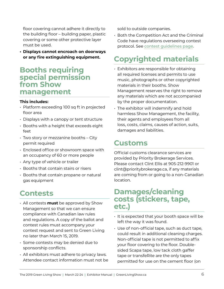<span id="page-5-0"></span>floor covering cannot adhere it directly to the building floor – building paper, plastic covering or some other protective layer must be used.

**• Displays cannot encroach on doorways or any fire extinguishing equipment.** 

#### **Booths requiring special permission from Show management**

#### **This includes:**

- Platform exceeding 100 sq ft in projected floor area
- Displays with a canopy or tent structure
- Booths with a height that exceeds eight feet
- Two story or mezzanine booths City permit required
- Enclosed office or showroom space with an occupancy of 60 or more people
- Any type of vehicle or trailer
- Booths that contain stairs or risers
- Booths that contain propane or natural gas equipment

### **Contests**

- All contests **must** be approved by Show Management so that we can ensure compliance with Canadian law rules and regulations. A copy of the ballot and contest rules must accompany your contest request and sent to Green Living no later than March 15, 2019.
- Some contests may be denied due to sponsorship conflicts.
- All exhibitors must adhere to privacy laws. Attendee contact information must not be

sold to outside companies.

• Both the Competition Act and the Criminal Code have regulations overseeing contest protocol. See [contest guidelines page](https://exhibitors.greenlivingshow.ca/contest-requirements/).

## **Copyrighted materials**

- Exhibitors are responsible for obtaining all required licenses and permits to use music, photographs or other copyrighted materials in their booths. Show Management reserves the right to remove any materials which are not accompanied by the proper documentation.
- The exhibitor will indemnify and hold harmless Show Management, the facility, their agents and employees from all loss, costs, claims, causes of action, suits, damages and liabilities.

### **Customs**

Official customs clearance services are provided by Priority Brokerage Services. Please contact Clint Ellis at 905-212-9901 or clint@prioritybrokerage.ca, if any materials are coming from or going to a non-Canadian location.

### **Damages/cleaning costs (stickers, tape, etc.)**

- It is expected that your booth space will be left the way it was found.
- Use of non-official tape, such as duct tape, could result in additional cleaning charges. Non-official tape is not permitted to affix your floor covering to the floor. Doublesided Scapa tape, low tack cloth gaffer tape or transfeRite are the only tapes permitted for use on the cement floor (on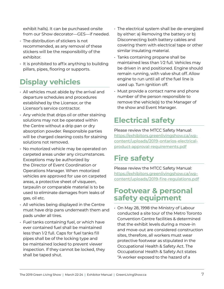<span id="page-6-0"></span>exhibit halls). It can be purchased onsite from our Show decorator—GES—if needed.

- The distribution of stickers is not recommended, as any removal of these stickers will be the responsibility of the exhibitor.
- It is prohibited to affix anything to building pillars, pipes, flooring or supports.

## **Display vehicles**

- All vehicles must abide by the arrival and departure schedules and procedures established by the Licensor, or the Licensor's service contractor.
- Any vehicle that drips oil or other staining solutions may not be operated within the Centre without a drip pan or dry absorption powder. Responsible parties will be charged cleaning costs for staining solutions not removed.
- No motorized vehicle may be operated on carpeted areas under any circumstances. Exceptions may be authorized by the Director of Event Coordination or Operations Manager. When motorized vehicles are approved for use on carpeted areas, a protective sheet of visqueen, tarpaulin or comparable material is to be used to eliminate damages from leaks of gas, oil etc.
- All vehicles being displayed in the Centre must have drip pans underneath them and pads under all tires.
- Fuel tanks containing fuel, or which have ever contained fuel shall be maintained less than 1⁄2 full. Caps for fuel tanks fill pipes shall be of the locking type and be maintained locked to prevent viewer inspection. If they cannot be locked, they shall be taped shut.
- The electrical system shall be de-energized by either: a) Removing the battery or b) Disconnecting both battery cables and covering them with electrical tape or other similar insulating material.
- Tanks containing propane shall be maintained less than 1⁄2 full. Vehicles may be driven in and positioned. Engine should remain running, with valve shut off. Allow engine to run until all of the fuel line is used up. Turn ignition off.
- Must provide a contact name and phone number of the person responsible to remove the vehicle(s) to the Manager of the show and Event Manager.

## **Electrical safety**

Please review the MTCC Safety Manual: [https://exhibitors.greenlivingshow.ca/wp](https://exhibitors.greenlivingshow.ca/wp-content/uploads/2019-ontarios-electrical-product-approval-requirements.pdf)[content/uploads/2019-ontarios-electrical](https://exhibitors.greenlivingshow.ca/wp-content/uploads/2019-ontarios-electrical-product-approval-requirements.pdf)[product-approval-requirements.pdf](https://exhibitors.greenlivingshow.ca/wp-content/uploads/2019-ontarios-electrical-product-approval-requirements.pdf)

## **Fire safety**

Please review the MTCC Safety Manual: [https://exhibitors.greenlivingshow.ca/wp](https://exhibitors.greenlivingshow.ca/wp-content/uploads/2019-fire-regulations.pdf)[content/uploads/2019-fire-regulations.pdf](https://exhibitors.greenlivingshow.ca/wp-content/uploads/2019-fire-regulations.pdf)

### **Footwear & personal safety equipment**

• On May 28, 1998 the Ministry of Labour conducted a site tour of the Metro Toronto Convention Centre facilities & determined that the exhibit levels during a move-in and move-out are considered construction sites, therefore, all workers must wear protective footwear as stipulated in the Occupational Health & Safety Act. The Occupational Health & Safety Act states "A worker exposed to the hazard of a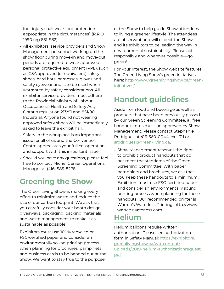<span id="page-7-0"></span>foot injury shall wear foot protection appropriate in the circumstances" (R.R.O. 1990 reg 851-S82).

- All exhibitors, service providers and Show Management personnel working on the show floor during move-in and move-out periods are required to wear approved personal protective equipment (PPE), such as CSA approved (or equivalent) safety shoes, hard hats, harnesses, gloves and safety eyewear and is to be used when warranted by safety considerations. All exhibitor service providers must adhere to the Provincial Ministry of Labour Occupational Health and Safety Act, Ontario regulation 213/91 and 851/90 Industrial. Anyone found not wearing approved safety shoes will be immediately asked to leave the exhibit hall.
- Safety in the workplace is an important issue for all of us and the Convention Centre appreciates your full co-operation and support with this important issue.
- Should you have any questions, please feel free to contact Michel Genier, Operations Manager at (416) 585-8278.

## **Greening the Show**

The Green Living Show is making every effort to minimize waste and reduce the size of our carbon footprint. We ask that you carefully consider your booth design, giveaways, packaging, packing materials and waste management to make it as sustainable as possible.

Exhibitors must use 100% recycled or FSC-certified paper and consider an environmentally sound printing process when planning for brochures, pamphlets and business cards to be handed out at the Show. We want to stay true to the purpose

of the Show to help guide Show attendees to living a greener lifestyle. The attendees are observant and will expect the Show and its exhibitors to be leading the way in environmental sustainability. Please act responsibly and wherever possible—go green!

For your interest, the Show website features The Green Living Show's green initiatives here: [http://www.greenlivingshow.ca/green](http://www.greenlivingshow.ca/green-initiatives/)[initiatives/](http://www.greenlivingshow.ca/green-initiatives/).

## **Handout guidelines**

Aside from food and beverage as well as products that have been previously passed by our Green Screening Committee, all free handout items must be approved by Show Management. Please contact Stephanie Rodrigues at 416-360-0044, ext. 311 or [srodrigues@green-living.ca](mailto:srodrigues%40green-living.ca?subject=).

• Show Management reserves the right to prohibit product handouts that do not meet the standards of the Green Screening Committee. With paper pamphlets and brochures, we ask that you keep these handouts to a minimum. Exhibitors must use FSC-certified paper and consider an environmentally sound printing process when planning for these handouts. Our recommended printer is Warren's Waterless Printing: [http://www.](http://www.warrenswaterless.com) [warrenswaterless.com.](http://www.warrenswaterless.com)

## **Helium**

Helium balloons require written authorization. Please see authorization form in Safety Manual: [https://exhibitors.](https://exhibitors.greenlivingshow.ca/wp-content/uploads/2019-helium-authorizationrequest.pdf) [greenlivingshow.ca/wp-content/](https://exhibitors.greenlivingshow.ca/wp-content/uploads/2019-helium-authorizationrequest.pdf) [uploads/2019-helium-authorizationrequest.](https://exhibitors.greenlivingshow.ca/wp-content/uploads/2019-helium-authorizationrequest.pdf) [pdf](https://exhibitors.greenlivingshow.ca/wp-content/uploads/2019-helium-authorizationrequest.pdf)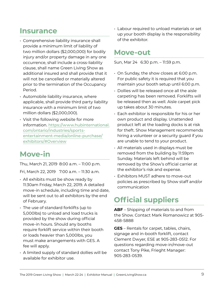### <span id="page-8-0"></span>**Insurance**

- Comprehensive liability insurance shall provide a minimum limit of liability of two million dollars (\$2,000,000) for bodily injury and/or property damage in any one occurrence, shall include a cross-liability clause, shall name Green Living Show as additional insured and shall provide that it will not be cancelled or materially altered prior to the termination of the Occupancy Period.
- Automobile liability insurance, where applicable, shall provide third party liability insurance with a minimum limit of two million dollars (\$2,000,000).
- Visit the following website for more information. [https://www.hubinternational.](https://www.hubinternational.com/ontario/industries/sports-entertainment-media/online-purchase/exhibitors/#Overview) [com/ontario/industries/sports](https://www.hubinternational.com/ontario/industries/sports-entertainment-media/online-purchase/exhibitors/#Overview)[entertainment-media/online-purchase/](https://www.hubinternational.com/ontario/industries/sports-entertainment-media/online-purchase/exhibitors/#Overview) [exhibitors/#Overview](https://www.hubinternational.com/ontario/industries/sports-entertainment-media/online-purchase/exhibitors/#Overview)

### **Move-in**

Thu, March 21, 2019 8:00 a.m. – 11:00 p.m.

Fri, March 22, 2019 7:00 a.m. – 11:30 a.m.

- All exhibits must be show ready by 11:30am Friday, March 22, 2019. A detailed move-in schedule, including time and date, will be sent out to all exhibitors by the end of February.
- The use of standard forklifts (up to 5,000lbs) to unload and load trucks is provided by the show during official move-in hours. Should any booths require forklift service within their booth or loads heavier than 5,000lbs, you must make arrangements with GES. A fee will apply.
- A limited supply of standard dollies will be available for exhibitor use.

• Labour required to unload materials or set up your booth display is the responsibility of the exhibitor.

### **Move-out**

Sun, Mar 24 6:30 p.m. – 11:59 p.m.

- On Sunday, the show closes at 6:00 p.m. For public safety it is required that you maintain your booth setup until 6:00 p.m.
- Dollies will be released once all the aisle carpeting has been removed. Forklifts will be released then as well. Aisle carpet pick up takes about 30 minutes.
- Each exhibitor is responsible for his or her own product and display. Unattended product left at the loading docks is at risk for theft. Show Management recommends hiring a volunteer or a security guard if you are unable to tend to your product.
- All materials used in displays must be removed from the building by 11:59pm Sunday. Materials left behind will be removed by the Show's official carrier at the exhibitor's risk and expense.
- Exhibitors MUST adhere to move-out policies as prescribed by Show staff and/or communication

## **Official suppliers**

**ABF** – Shipping of materials to and from the Show. Contact Mark Romanowicz at 905- 458-5888

**GES** – Rentals for carpet, tables, chairs, signage and in-booth forklift, contact Clement Dwyer, ESE at 905-283-0512. For questions regarding move-in/move-out contact Tony Pike, Frieght Manager: 905-283-0539.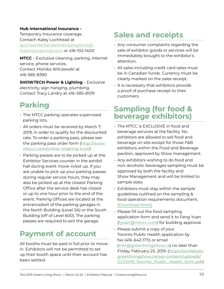#### <span id="page-9-0"></span>**Hub International Insurance -**

Temporary Insurance coverage. Contach Kaley Lochhead at [sportsandentertainmentprograms@](mailto:sportsandentertainmentprograms%40hubinternational.com?subject=) [hubinternational.com](mailto:sportsandentertainmentprograms%40hubinternational.com?subject=) or 416-102-1400

**MTCC** – Exclusive cleaning, parking, internet service, phone services. Contact Monika Wilczewski at 416-585-8390

**SHOWTECH Power & Lighting** – Exclusive electricity, sign hanging, plumbing. Contact Tracy Landry at 416-585-8109

### **Parking**

- The MTCC parking operates supervised parking lots.
- All orders must be received by March 7, 2019, in order to qualify for the discounted rate. To order a parking pass, please see the parking pass order form ([http://www.](http://www.mtccc.com/online-ordering-tool/) [mtccc.com/online-ordering-tool/](http://www.mtccc.com/online-ordering-tool/))
- Parking passes are to be picked up at the Exhibitor Services counter in the exhibit hall during event move-in/set up. If you are unable to pick up your parking passes during regular service hours, they may also be picked up at the closest Parking Office after the service desk has closed or up to one hour prior to the end of the event. Parking Offices are located at the entrance/exit of the parking garages in the North Building (Level 5A) or the South Building (off of Level 600). The parking passes are required to exit the garage.

### **Payment of account**

All booths must be paid in full prior to movein. Exhibitors will not be permitted to set up their booth space until their account has been settled.

## **Sales and receipts**

- Any consumer complaints regarding the sale of exhibitor goods or services will be immediately brought to the exhibitor's attention.
- All sales including credit card sales must be in Canadian funds. Currency must be clearly marked on the sales receipt.
- It is necessary that exhibitors provide a proof of purchase receipt to their customers.

### **Sampling (for food & beverage exhibitors)**

- The MTCC is EXCLUSIVE in food and beverage services at the facility. No exhibitors are allowed to sell food and beverage on site except for those F&B exhibitors within the Food and Beverage pavilion, approved by Show management.
- Any exhibitors wishing to do food and non-alcoholic beverages sampling must be approved by both the facility and Show Management and will be limited to sample sizes.
- Exhibitors must stay within the sample guidelines outlined on the sampling & food operation requirements document. [\[Download form\]](https://exhibitors.greenlivingshow.ca/wp-content/uploads/2019-food-beverage-authorization.pdf).
- Please fill out the food sampling application form and send it to Fang Yuan ([fyuan@mtccc.com](mailto:fyuan%40mtccc.com?subject=)) for building approval.
- Please submit a copy of your Toronto Public Health application by fax (416-642-1711) or email (info[@greenlivingshow.ca](mailto:info%40greenlivingshow.ca?subject=)) no later than Friday, February 25, 2019. ([https://exhibitors.](https://exhibitors.greenlivingshow.ca/wp-content/uploads/GLS2019_Toronto_Public_Health_form.pdf) [greenlivingshow.ca/wp-content/uploads/](https://exhibitors.greenlivingshow.ca/wp-content/uploads/GLS2019_Toronto_Public_Health_form.pdf) [GLS2019\\_Toronto\\_Public\\_Health\\_form.pdf](https://exhibitors.greenlivingshow.ca/wp-content/uploads/GLS2019_Toronto_Public_Health_form.pdf))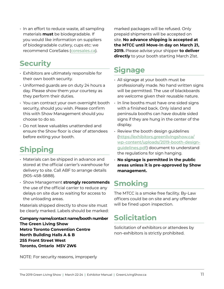<span id="page-10-0"></span>• In an effort to reduce waste, all sampling materials **must** be biodegradable. If you would like information on suppliers of biodegradable cutlery, cups etc: we recommend CoreSales ([coresales.ca](http://www.coresales.ca/)).

### **Security**

- Exhibitors are ultimately responsible for their own booth security.
- Uniformed guards are on duty 24 hours a day. Please show them your courtesy as they perform their duties.
- You can contract your own overnight booth security, should you wish. Please confirm this with Show Management should you choose to do so.
- Do not leave valuables unattended and ensure the Show floor is clear of attendees before exiting your booth.

## **Shipping**

- Materials can be shipped in advance and stored at the official carrier's warehouse for delivery to site. Call ABF to arrange details (905-458-5888).
- Show Management **strongly recommends** the use of the official carrier to reduce any delays on site due to waiting for access to the unloading areas.

Materials shipped directly to show site must be clearly marked. Labels should be marked:

**Company name/contact name/booth number The Green Living Show Metro Toronto Convention Centre North Building Halls A & B 255 Front Street West Toronto, Ontario M5V 2W6**

marked packages will be refused. Only prepaid shipments will be accepted on site. **No advance shipping is accepted at the MTCC until Move-In day on March 21, 2019.** Please advise your shipper **to deliver directly** to your booth starting March 21st.

## **Signage**

- All signage at your booth must be professionally made. No hand written signs will be permitted. The use of blackboards are welcome given their reusable nature.
- In line booths must have one sided signs with a finished back. Only island and peninsula booths can have double sided signs if they are hung in the center of the display.
- Review the booth design guidelines ([https://exhibitors.greenlivingshow.ca/](https://exhibitors.greenlivingshow.ca/wp-content/uploads/2019-booth-design-guidelines.pdf) [wp-content/uploads/2019-booth-design](https://exhibitors.greenlivingshow.ca/wp-content/uploads/2019-booth-design-guidelines.pdf)[guidelines.pdf](https://exhibitors.greenlivingshow.ca/wp-content/uploads/2019-booth-design-guidelines.pdf)) document to understand the regulations for sign hanging.
- **No signage is permitted in the public areas unless it is pre-approved by Show management.**

## **Smoking**

The MTCC is a smoke free facility. By-Law officers could be on site and any offender will be fined upon inspection.

## **Solicitation**

Solicitation of exhibitors or attendees by non-exhibitors is strictly prohibited.

NOTE: For security reasons, improperly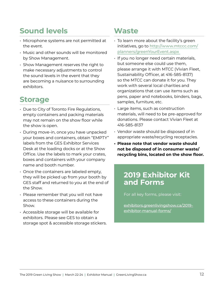## <span id="page-11-0"></span>**Sound levels**

- Microphone systems are not permitted at the event.
- Music and other sounds will be monitored by Show Management.
- Show Management reserves the right to make necessary adjustments to control the sound levels in the event that they are becoming a nuisance to surrounding exhibitors.

### **Storage**

- Due to City of Toronto Fire Regulations, empty containers and packing materials may not remain on the show floor while the show is open.
- During move-in, once you have unpacked your boxes and containers, obtain "EMPTY" labels from the GES Exhibitor Services Desk at the loading docks or at the Show Office. Use the labels to mark your crates, boxes and containers with your company name and booth number.
- Once the containers are labeled empty, they will be picked up from your booth by GES staff and returned to you at the end of the Show.
- Please remember that you will not have access to these containers during the Show.
- Accessible storage will be available for exhibitors. Please see GES to obtain a storage spot & accessible storage stickers.

### **Waste**

- To learn more about the facility's green initiatives, go to [http://www.mtccc.com/](http://www.mtccc.com/planners/greenYourEvent.aspx) [planners/greenYourEvent.aspx](http://www.mtccc.com/planners/greenYourEvent.aspx)
- If you no longer need certain materials, but someone else could use them, please arrange it with MTCC (Vivian Fleet, Sustainability Officer, at 416-585-8137) so the MTCC can donate it for you. They work with several local charities and organizations that can use items such as pens, paper and notebooks, binders, bags, samples, furniture, etc.
- Large items, such as construction materials, will need to be pre-approved for donations. Please contact Vivian Fleet at 416-585-8137
- Vendor waste should be disposed of in appropriate waste/recycling receptacles.
- **• Please note that vendor waste should not be disposed of in consumer waste/ recycling bins, located on the show floor.**

### **2019 Exhibitor Kit and Forms**

For all key forms, please visit:

[exhibitors.greenlivingshow.ca/2019](https://exhibitors.greenlivingshow.ca/2019-exhibitor-manual-forms/) [exhibitor-manual-forms/](https://exhibitors.greenlivingshow.ca/2019-exhibitor-manual-forms/)